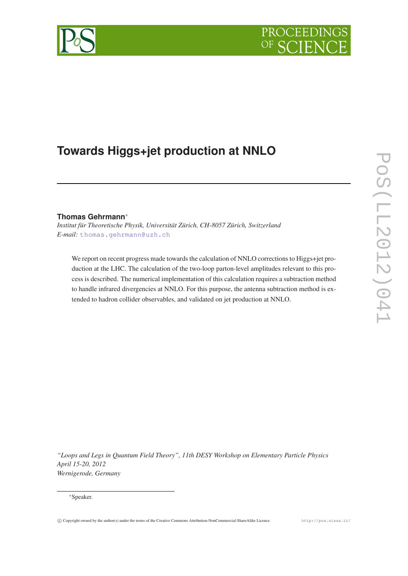# PROCEEDIN



# **Towards Higgs+jet production at NNLO**

# **Thomas Gehrmann**<sup>∗</sup>

*Institut für Theoretische Physik, Universität Zürich, CH-8057 Zürich, Switzerland E-mail:* [thomas.gehrmann@uzh.ch](mailto:thomas.gehrmann@uzh.ch)

We report on recent progress made towards the calculation of NNLO corrections to Higgs+jet production at the LHC. The calculation of the two-loop parton-level amplitudes relevant to this process is described. The numerical implementation of this calculation requires a subtraction method to handle infrared divergencies at NNLO. For this purpose, the antenna subtraction method is extended to hadron collider observables, and validated on jet production at NNLO.

*"Loops and Legs in Quantum Field Theory", 11th DESY Workshop on Elementary Particle Physics April 15-20, 2012 Wernigerode, Germany*

#### <sup>∗</sup>Speaker.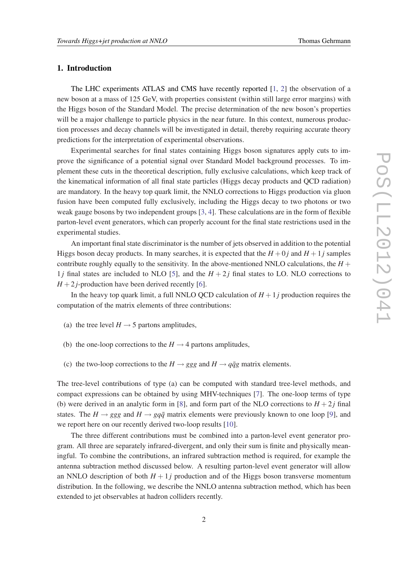## 1. Introduction

The LHC experiments ATLAS and CMS have recently reported [[1](#page-4-0), [2](#page-4-0)] the observation of a new boson at a mass of 125 GeV, with properties consistent (within still large error margins) with the Higgs boson of the Standard Model. The precise determination of the new boson's properties will be a major challenge to particle physics in the near future. In this context, numerous production processes and decay channels will be investigated in detail, thereby requiring accurate theory predictions for the interpretation of experimental observations.

Experimental searches for final states containing Higgs boson signatures apply cuts to improve the significance of a potential signal over Standard Model background processes. To implement these cuts in the theoretical description, fully exclusive calculations, which keep track of the kinematical information of all final state particles (Higgs decay products and QCD radiation) are mandatory. In the heavy top quark limit, the NNLO corrections to Higgs production via gluon fusion have been computed fully exclusively, including the Higgs decay to two photons or two weak gauge bosons by two independent groups [\[3,](#page-4-0) [4](#page-4-0)]. These calculations are in the form of flexible parton-level event generators, which can properly account for the final state restrictions used in the experimental studies.

An important final state discriminator is the number of jets observed in addition to the potential Higgs boson decay products. In many searches, it is expected that the  $H + 0j$  and  $H + 1j$  samples contribute roughly equally to the sensitivity. In the above-mentioned NNLO calculations, the  $H +$ 1*j* final states are included to NLO [[5](#page-4-0)], and the  $H + 2j$  final states to LO. NLO corrections to  $H + 2j$ -production have been derived recently [\[6\]](#page-4-0).

In the heavy top quark limit, a full NNLO QCD calculation of  $H + 1$  *j* production requires the computation of the matrix elements of three contributions:

- (a) the tree level  $H \rightarrow 5$  partons amplitudes,
- (b) the one-loop corrections to the  $H \rightarrow 4$  partons amplitudes,
- (c) the two-loop corrections to the  $H \rightarrow ggg$  and  $H \rightarrow q\bar{q}g$  matrix elements.

The tree-level contributions of type (a) can be computed with standard tree-level methods, and compact expressions can be obtained by using MHV-techniques [[7](#page-4-0)]. The one-loop terms of type (b) were derived in an analytic form in [[8](#page-5-0)], and form part of the NLO corrections to  $H + 2j$  final states. The  $H \rightarrow ggg$  and  $H \rightarrow gq\bar{q}$  matrix elements were previously known to one loop [[9](#page-5-0)], and we report here on our recently derived two-loop results [[10\]](#page-5-0).

The three different contributions must be combined into a parton-level event generator program. All three are separately infrared-divergent, and only their sum is finite and physically meaningful. To combine the contributions, an infrared subtraction method is required, for example the antenna subtraction method discussed below. A resulting parton-level event generator will allow an NNLO description of both  $H + 1j$  production and of the Higgs boson transverse momentum distribution. In the following, we describe the NNLO antenna subtraction method, which has been extended to jet observables at hadron colliders recently.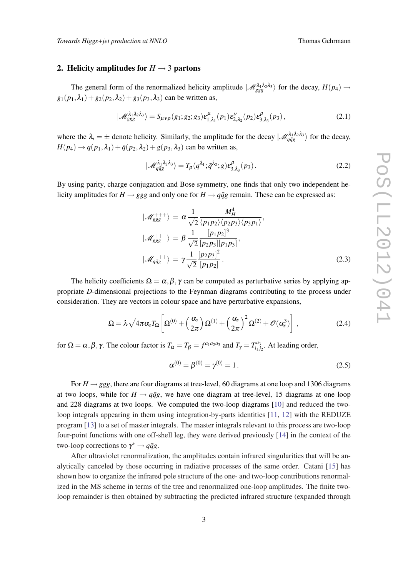#### 2. Helicity amplitudes for  $H \rightarrow 3$  partons

The general form of the renormalized helicity amplitude  $\ket{\mathcal{M}_{ggg}^{\lambda_1\lambda_2\lambda_3}}$  for the decay,  $H(p_4) \rightarrow$  $g_1(p_1, \lambda_1) + g_2(p_2, \lambda_2) + g_3(p_3, \lambda_3)$  can be written as,

$$
|\mathscr{M}_{ggg}^{\lambda_1\lambda_2\lambda_3}\rangle = S_{\mu\nu\rho}(g_1;g_2;g_3)\varepsilon_{1,\lambda_1}^{\mu}(p_1)\varepsilon_{2,\lambda_2}^{\nu}(p_2)\varepsilon_{3,\lambda_3}^{\rho}(p_3),\tag{2.1}
$$

where the  $\lambda_i = \pm$  denote helicity. Similarly, the amplitude for the decay  $|\mathcal{M}_{q\bar{q}g}^{\lambda_1\lambda_2\lambda_3}\rangle$  for the decay,  $H(p_4) \rightarrow q(p_1, \lambda_1) + \bar{q}(p_2, \lambda_2) + g(p_3, \lambda_3)$  can be written as,

$$
|\mathscr{M}_{q\bar{q}g}^{\lambda_1\lambda_2\lambda_3}\rangle = T_p(q^{\lambda_1}; \bar{q}^{\lambda_2}; g) \varepsilon_{3,\lambda_3}^{\rho}(p_3).
$$
 (2.2)

By using parity, charge conjugation and Bose symmetry, one finds that only two independent helicity amplitudes for  $H \rightarrow ggg$  and only one for  $H \rightarrow q\bar{q}g$  remain. These can be expressed as:

$$
\begin{aligned}\n|\mathcal{M}_{ggg}^{+++}\rangle &= \alpha \frac{1}{\sqrt{2}} \frac{M_H^4}{\langle p_1 p_2 \rangle \langle p_2 p_3 \rangle \langle p_3 p_1 \rangle}, \\
|\mathcal{M}_{ggg}^{+++}\rangle &= \beta \frac{1}{\sqrt{2}} \frac{[p_1 p_2]^3}{[p_2 p_3][p_1 p_3]}, \\
|\mathcal{M}_{q\bar{q}g}^{-++}\rangle &= \gamma \frac{1}{\sqrt{2}} \frac{[p_2 p_3]^2}{[p_1 p_2]}.\n\end{aligned}
$$
(2.3)

The helicity coefficients  $\Omega = \alpha, \beta, \gamma$  can be computed as perturbative series by applying appropriate *D*-dimensional projections to the Feynman diagrams contributing to the process under consideration. They are vectors in colour space and have perturbative expansions,

$$
\Omega = \lambda \sqrt{4\pi \alpha_s} T_{\Omega} \left[ \Omega^{(0)} + \left( \frac{\alpha_s}{2\pi} \right) \Omega^{(1)} + \left( \frac{\alpha_s}{2\pi} \right)^2 \Omega^{(2)} + \mathcal{O}(\alpha_s^3) \right], \tag{2.4}
$$

for  $\Omega = \alpha, \beta, \gamma$ . The colour factor is  $T_{\alpha} = T_{\beta} = f^{a_1 a_2 a_3}$  and  $T_{\gamma} = T_{i_1 j}^{a_3}$  $\int_{i_1 j_2}^{i_3}$ . At leading order,

$$
\alpha^{(0)} = \beta^{(0)} = \gamma^{(0)} = 1.
$$
\n(2.5)

For  $H \rightarrow ggg$ , there are four diagrams at tree-level, 60 diagrams at one loop and 1306 diagrams at two loops, while for  $H \rightarrow q\bar{q}g$ , we have one diagram at tree-level, 15 diagrams at one loop and 228 diagrams at two loops. We computed the two-loop diagrams [[10\]](#page-5-0) and reduced the twoloop integrals appearing in them using integration-by-parts identities [\[11](#page-5-0), [12](#page-5-0)] with the REDUZE program [[13](#page-5-0)] to a set of master integrals. The master integrals relevant to this process are two-loop four-point functions with one off-shell leg, they were derived previously [[14](#page-5-0)] in the context of the two-loop corrections to  $\gamma^* \rightarrow q\bar{q}g$ .

After ultraviolet renormalization, the amplitudes contain infrared singularities that will be analytically canceled by those occurring in radiative processes of the same order. Catani [\[15](#page-5-0)] has shown how to organize the infrared pole structure of the one- and two-loop contributions renormalized in the  $\overline{\text{MS}}$  scheme in terms of the tree and renormalized one-loop amplitudes. The finite twoloop remainder is then obtained by subtracting the predicted infrared structure (expanded through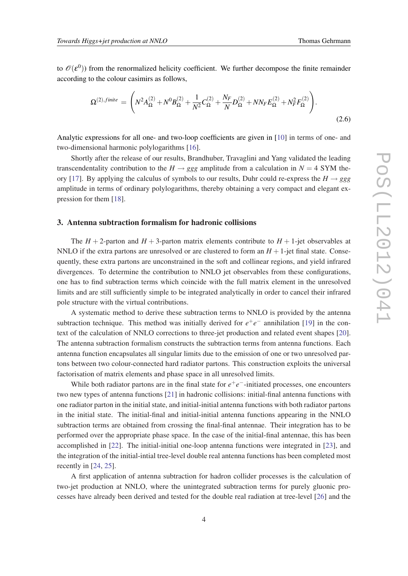to  $\mathscr{O}(\mathcal{E}^0)$ ) from the renormalized helicity coefficient. We further decompose the finite remainder according to the colour casimirs as follows,

$$
\Omega^{(2),finite} = \left( N^2 A_{\Omega}^{(2)} + N^0 B_{\Omega}^{(2)} + \frac{1}{N^2} C_{\Omega}^{(2)} + \frac{N_F}{N} D_{\Omega}^{(2)} + N N_F E_{\Omega}^{(2)} + N_F^2 F_{\Omega}^{(2)} \right).
$$
\n(2.6)

Analytic expressions for all one- and two-loop coefficients are given in [\[10](#page-5-0)] in terms of one- and two-dimensional harmonic polylogarithms [[16](#page-5-0)].

Shortly after the release of our results, Brandhuber, Travaglini and Yang validated the leading transcendentality contribution to the  $H \rightarrow ggg$  amplitude from a calculation in  $N = 4$  SYM the-ory [[17\]](#page-5-0). By applying the calculus of symbols to our results, Duhr could re-express the  $H \rightarrow ggg$ amplitude in terms of ordinary polylogarithms, thereby obtaining a very compact and elegant expression for them [\[18\]](#page-5-0).

## 3. Antenna subtraction formalism for hadronic collisions

The  $H + 2$ -parton and  $H + 3$ -parton matrix elements contribute to  $H + 1$ -jet observables at NNLO if the extra partons are unresolved or are clustered to form an  $H + 1$ -jet final state. Consequently, these extra partons are unconstrained in the soft and collinear regions, and yield infrared divergences. To determine the contribution to NNLO jet observables from these configurations, one has to find subtraction terms which coincide with the full matrix element in the unresolved limits and are still sufficiently simple to be integrated analytically in order to cancel their infrared pole structure with the virtual contributions.

A systematic method to derive these subtraction terms to NNLO is provided by the antenna subtraction technique. This method was initially derived for  $e^+e^-$  annihilation [[19\]](#page-5-0) in the context of the calculation of NNLO corrections to three-jet production and related event shapes [[20\]](#page-5-0). The antenna subtraction formalism constructs the subtraction terms from antenna functions. Each antenna function encapsulates all singular limits due to the emission of one or two unresolved partons between two colour-connected hard radiator partons. This construction exploits the universal factorisation of matrix elements and phase space in all unresolved limits.

While both radiator partons are in the final state for  $e^+e^-$ -initiated processes, one encounters two new types of antenna functions [[21\]](#page-5-0) in hadronic collisions: initial-final antenna functions with one radiator parton in the initial state, and initial-initial antenna functions with both radiator partons in the initial state. The initial-final and initial-initial antenna functions appearing in the NNLO subtraction terms are obtained from crossing the final-final antennae. Their integration has to be performed over the appropriate phase space. In the case of the initial-final antennae, this has been accomplished in [\[22](#page-5-0)]. The initial-initial one-loop antenna functions were integrated in [\[23](#page-5-0)], and the integration of the initial-intial tree-level double real antenna functions has been completed most recently in [\[24,](#page-5-0) [25](#page-5-0)].

A first application of antenna subtraction for hadron collider processes is the calculation of two-jet production at NNLO, where the unintegrated subtraction terms for purely gluonic processes have already been derived and tested for the double real radiation at tree-level [\[26](#page-5-0)] and the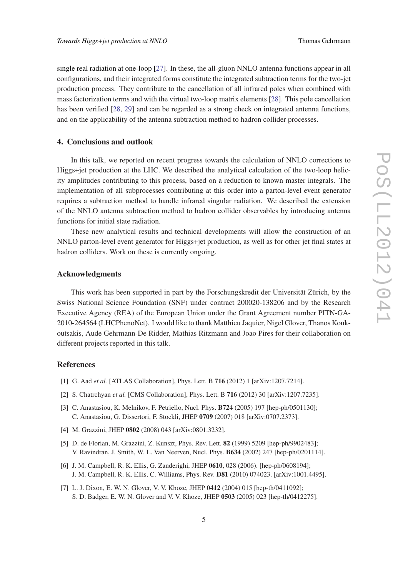<span id="page-4-0"></span>single real radiation at one-loop [[27\]](#page-5-0). In these, the all-gluon NNLO antenna functions appear in all configurations, and their integrated forms constitute the integrated subtraction terms for the two-jet production process. They contribute to the cancellation of all infrared poles when combined with mass factorization terms and with the virtual two-loop matrix elements [[28\]](#page-5-0). This pole cancellation has been verified [[28,](#page-5-0) [29\]](#page-5-0) and can be regarded as a strong check on integrated antenna functions, and on the applicability of the antenna subtraction method to hadron collider processes.

#### 4. Conclusions and outlook

In this talk, we reported on recent progress towards the calculation of NNLO corrections to Higgs+jet production at the LHC. We described the analytical calculation of the two-loop helicity amplitudes contributing to this process, based on a reduction to known master integrals. The implementation of all subprocesses contributing at this order into a parton-level event generator requires a subtraction method to handle infrared singular radiation. We described the extension of the NNLO antenna subtraction method to hadron collider observables by introducing antenna functions for initial state radiation.

These new analytical results and technical developments will allow the construction of an NNLO parton-level event generator for Higgs+jet production, as well as for other jet final states at hadron colliders. Work on these is currently ongoing.

#### Acknowledgments

This work has been supported in part by the Forschungskredit der Universität Zürich, by the Swiss National Science Foundation (SNF) under contract 200020-138206 and by the Research Executive Agency (REA) of the European Union under the Grant Agreement number PITN-GA-2010-264564 (LHCPhenoNet). I would like to thank Matthieu Jaquier, Nigel Glover, Thanos Koukoutsakis, Aude Gehrmann-De Ridder, Mathias Ritzmann and Joao Pires for their collaboration on different projects reported in this talk.

#### References

- [1] G. Aad *et al.* [ATLAS Collaboration], Phys. Lett. B 716 (2012) 1 [arXiv:1207.7214].
- [2] S. Chatrchyan *et al.* [CMS Collaboration], Phys. Lett. B 716 (2012) 30 [arXiv:1207.7235].
- [3] C. Anastasiou, K. Melnikov, F. Petriello, Nucl. Phys. B724 (2005) 197 [hep-ph/0501130]; C. Anastasiou, G. Dissertori, F. Stockli, JHEP 0709 (2007) 018 [arXiv:0707.2373].
- [4] M. Grazzini, JHEP 0802 (2008) 043 [arXiv:0801.3232].
- [5] D. de Florian, M. Grazzini, Z. Kunszt, Phys. Rev. Lett. **82** (1999) 5209 [hep-ph/9902483]; V. Ravindran, J. Smith, W. L. Van Neerven, Nucl. Phys. B634 (2002) 247 [hep-ph/0201114].
- [6] J. M. Campbell, R. K. Ellis, G. Zanderighi, JHEP 0610, 028 (2006). [hep-ph/0608194]; J. M. Campbell, R. K. Ellis, C. Williams, Phys. Rev. D81 (2010) 074023. [arXiv:1001.4495].
- [7] L. J. Dixon, E. W. N. Glover, V. V. Khoze, JHEP 0412 (2004) 015 [hep-th/0411092]; S. D. Badger, E. W. N. Glover and V. V. Khoze, JHEP 0503 (2005) 023 [hep-th/0412275].